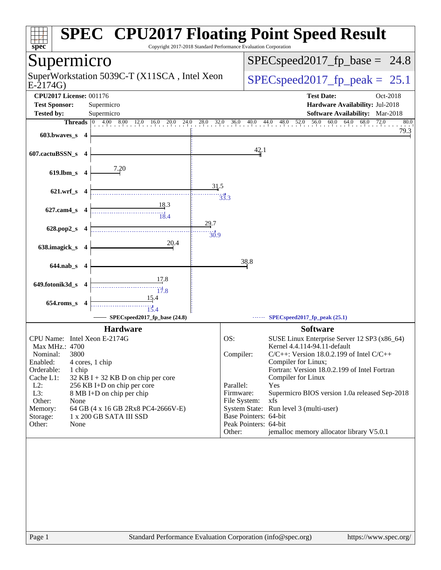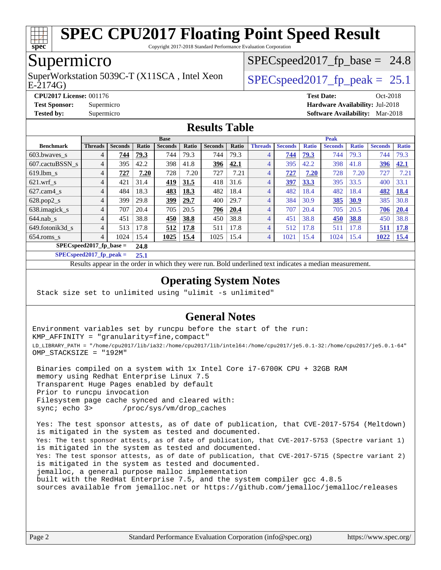

Copyright 2017-2018 Standard Performance Evaluation Corporation

#### Supermicro

E-2174G) SuperWorkstation 5039C-T (X11SCA, Intel Xeon  $\big|$  [SPECspeed2017\\_fp\\_peak =](http://www.spec.org/auto/cpu2017/Docs/result-fields.html#SPECspeed2017fppeak) 25.1

 $SPECspeed2017<sub>fp</sub> base = 24.8$ 

**[CPU2017 License:](http://www.spec.org/auto/cpu2017/Docs/result-fields.html#CPU2017License)** 001176 **[Test Date:](http://www.spec.org/auto/cpu2017/Docs/result-fields.html#TestDate)** Oct-2018 **[Test Sponsor:](http://www.spec.org/auto/cpu2017/Docs/result-fields.html#TestSponsor)** Supermicro **[Hardware Availability:](http://www.spec.org/auto/cpu2017/Docs/result-fields.html#HardwareAvailability)** Jul-2018 **[Tested by:](http://www.spec.org/auto/cpu2017/Docs/result-fields.html#Testedby)** Supermicro **[Software Availability:](http://www.spec.org/auto/cpu2017/Docs/result-fields.html#SoftwareAvailability)** Mar-2018

#### **[Results Table](http://www.spec.org/auto/cpu2017/Docs/result-fields.html#ResultsTable)**

|                                    | <b>Base</b>    |                |       |                |       |                |       | <b>Peak</b>    |                |              |                |              |                |              |
|------------------------------------|----------------|----------------|-------|----------------|-------|----------------|-------|----------------|----------------|--------------|----------------|--------------|----------------|--------------|
| <b>Benchmark</b>                   | <b>Threads</b> | <b>Seconds</b> | Ratio | <b>Seconds</b> | Ratio | <b>Seconds</b> | Ratio | <b>Threads</b> | <b>Seconds</b> | <b>Ratio</b> | <b>Seconds</b> | <b>Ratio</b> | <b>Seconds</b> | <b>Ratio</b> |
| $603.bwaves$ s                     | 4              | 744            | 79.3  | 744            | 79.3  | 744            | 79.3  | 4              | 744            | 79.3         | 744            | 79.3         | 744            | 79.3         |
| 607.cactuBSSN s                    | 4              | 395            | 42.2  | 398            | 41.8  | 396            | 42.1  | 4              | 395            | 42.2         | 398            | 41.8         | 396            | 42.1         |
| $619.1$ bm s                       | 4              | 727            | 7.20  | 728            | 7.20  | 727            | 7.21  | $\overline{4}$ | 727            | 7.20         | 728            | 7.20         | 727            | 7.21         |
| $621$ .wrf s                       | 4              | 421            | 31.4  | 419            | 31.5  | 418            | 31.6  | 4              | 397            | 33.3         | 395            | 33.5         | 400            | 33.1         |
| $627$ .cam $4 \text{ s}$           | 4              | 484            | 18.3  | <u>483</u>     | 18.3  | 482            | 18.4  | 4              | 482            | 18.4         | 482            | 18.4         | 482            | <b>18.4</b>  |
| $628.pop2_s$                       | 4              | 399            | 29.8  | 399            | 29.7  | 400            | 29.7  | 4              | 384            | 30.9         | 385            | 30.9         | 385            | 30.8         |
| 638.imagick_s                      | 4              | 707            | 20.4  | 705            | 20.5  | 706            | 20.4  | 4              | 707            | 20.4         | 705            | 20.5         | 706            | 20.4         |
| $644$ .nab s                       | 4              | 451            | 38.8  | 450            | 38.8  | 450            | 38.8  | 4              | 451            | 38.8         | 450            | 38.8         | 450            | 38.8         |
| 649.fotonik3d s                    | 4              | 513            | 17.8  | 512            | 17.8  | 511            | 17.8  | 4              | 512            | 17.8         | 511            | 17.8         | 511            | 17.8         |
| $654$ .roms s                      | 4              | 1024           | 15.4  | 1025           | 15.4  | 1025           | 15.4  | 4              | 1021           | 15.4         | 1024           | 15.4         | 1022           | <b>15.4</b>  |
| $SPEC speed2017$ fp base =<br>24.8 |                |                |       |                |       |                |       |                |                |              |                |              |                |              |

**[SPECspeed2017\\_fp\\_peak =](http://www.spec.org/auto/cpu2017/Docs/result-fields.html#SPECspeed2017fppeak) 25.1**

Results appear in the [order in which they were run.](http://www.spec.org/auto/cpu2017/Docs/result-fields.html#RunOrder) Bold underlined text [indicates a median measurement](http://www.spec.org/auto/cpu2017/Docs/result-fields.html#Median).

#### **[Operating System Notes](http://www.spec.org/auto/cpu2017/Docs/result-fields.html#OperatingSystemNotes)**

Stack size set to unlimited using "ulimit -s unlimited"

#### **[General Notes](http://www.spec.org/auto/cpu2017/Docs/result-fields.html#GeneralNotes)**

Environment variables set by runcpu before the start of the run: KMP\_AFFINITY = "granularity=fine,compact" LD\_LIBRARY\_PATH = "/home/cpu2017/lib/ia32:/home/cpu2017/lib/intel64:/home/cpu2017/je5.0.1-32:/home/cpu2017/je5.0.1-64" OMP\_STACKSIZE = "192M"

 Binaries compiled on a system with 1x Intel Core i7-6700K CPU + 32GB RAM memory using Redhat Enterprise Linux 7.5 Transparent Huge Pages enabled by default Prior to runcpu invocation Filesystem page cache synced and cleared with: sync; echo 3> /proc/sys/vm/drop\_caches

 Yes: The test sponsor attests, as of date of publication, that CVE-2017-5754 (Meltdown) is mitigated in the system as tested and documented. Yes: The test sponsor attests, as of date of publication, that CVE-2017-5753 (Spectre variant 1) is mitigated in the system as tested and documented. Yes: The test sponsor attests, as of date of publication, that CVE-2017-5715 (Spectre variant 2) is mitigated in the system as tested and documented. jemalloc, a general purpose malloc implementation built with the RedHat Enterprise 7.5, and the system compiler gcc 4.8.5 sources available from jemalloc.net or <https://github.com/jemalloc/jemalloc/releases>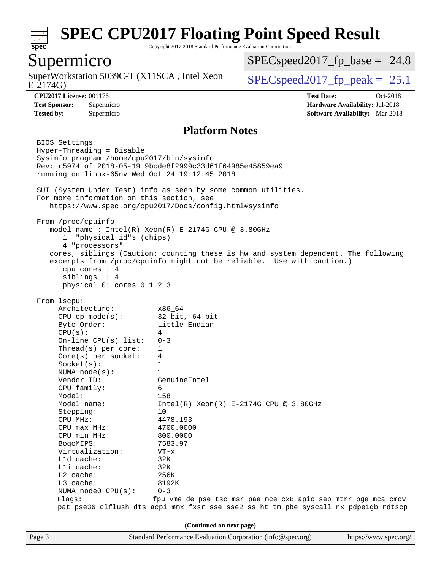

Copyright 2017-2018 Standard Performance Evaluation Corporation

#### Supermicro

E-2174G) SuperWorkstation 5039C-T (X11SCA, Intel Xeon  $\big|$  [SPECspeed2017\\_fp\\_peak =](http://www.spec.org/auto/cpu2017/Docs/result-fields.html#SPECspeed2017fppeak) 25.1

 $SPECspeed2017<sub>fp</sub> base = 24.8$ 

**[CPU2017 License:](http://www.spec.org/auto/cpu2017/Docs/result-fields.html#CPU2017License)** 001176 **[Test Date:](http://www.spec.org/auto/cpu2017/Docs/result-fields.html#TestDate)** Oct-2018 **[Test Sponsor:](http://www.spec.org/auto/cpu2017/Docs/result-fields.html#TestSponsor)** Supermicro **[Hardware Availability:](http://www.spec.org/auto/cpu2017/Docs/result-fields.html#HardwareAvailability)** Jul-2018 **[Tested by:](http://www.spec.org/auto/cpu2017/Docs/result-fields.html#Testedby)** Supermicro **[Software Availability:](http://www.spec.org/auto/cpu2017/Docs/result-fields.html#SoftwareAvailability)** Mar-2018

#### **[Platform Notes](http://www.spec.org/auto/cpu2017/Docs/result-fields.html#PlatformNotes)**

Page 3 Standard Performance Evaluation Corporation [\(info@spec.org\)](mailto:info@spec.org) <https://www.spec.org/> BIOS Settings: Hyper-Threading = Disable Sysinfo program /home/cpu2017/bin/sysinfo Rev: r5974 of 2018-05-19 9bcde8f2999c33d61f64985e45859ea9 running on linux-65nv Wed Oct 24 19:12:45 2018 SUT (System Under Test) info as seen by some common utilities. For more information on this section, see <https://www.spec.org/cpu2017/Docs/config.html#sysinfo> From /proc/cpuinfo model name : Intel(R) Xeon(R) E-2174G CPU @ 3.80GHz 1 "physical id"s (chips) 4 "processors" cores, siblings (Caution: counting these is hw and system dependent. The following excerpts from /proc/cpuinfo might not be reliable. Use with caution.) cpu cores : 4 siblings : 4 physical 0: cores 0 1 2 3 From lscpu: Architecture: x86\_64 CPU op-mode(s): 32-bit, 64-bit Byte Order: Little Endian  $CPU(s):$  4 On-line CPU(s) list: 0-3 Thread(s) per core: 1 Core(s) per socket: 4 Socket(s): 1 NUMA node(s): 1 Vendor ID: GenuineIntel CPU family: 6 Model: 158 Model name:  $Intel(R)$  Xeon(R) E-2174G CPU @ 3.80GHz Stepping: 10 CPU MHz: 4478.193 CPU max MHz: 4700.0000 CPU min MHz: 800.0000 BogoMIPS: 7583.97 Virtualization: VT-x L1d cache: 32K L1i cache: 32K L2 cache: 256K L3 cache: 8192K NUMA node0 CPU(s): 0-3 Flags: fpu vme de pse tsc msr pae mce cx8 apic sep mtrr pge mca cmov pat pse36 clflush dts acpi mmx fxsr sse sse2 ss ht tm pbe syscall nx pdpe1gb rdtscp **(Continued on next page)**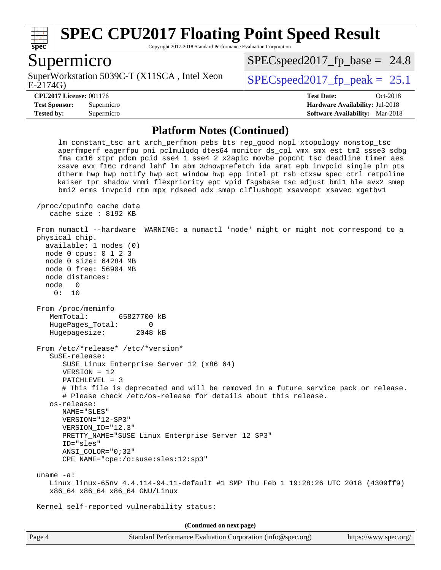

Copyright 2017-2018 Standard Performance Evaluation Corporation

#### Supermicro

E-2174G) SuperWorkstation 5039C-T (X11SCA, Intel Xeon  $\big|$  SPECspeed2017 fp\_peak = 25.1

 $SPECspeed2017<sub>fp</sub> base = 24.8$ 

**[Tested by:](http://www.spec.org/auto/cpu2017/Docs/result-fields.html#Testedby)** Supermicro **[Software Availability:](http://www.spec.org/auto/cpu2017/Docs/result-fields.html#SoftwareAvailability)** Mar-2018

**[CPU2017 License:](http://www.spec.org/auto/cpu2017/Docs/result-fields.html#CPU2017License)** 001176 **[Test Date:](http://www.spec.org/auto/cpu2017/Docs/result-fields.html#TestDate)** Oct-2018 **[Test Sponsor:](http://www.spec.org/auto/cpu2017/Docs/result-fields.html#TestSponsor)** Supermicro **[Hardware Availability:](http://www.spec.org/auto/cpu2017/Docs/result-fields.html#HardwareAvailability)** Jul-2018

#### **[Platform Notes \(Continued\)](http://www.spec.org/auto/cpu2017/Docs/result-fields.html#PlatformNotes)**

 lm constant\_tsc art arch\_perfmon pebs bts rep\_good nopl xtopology nonstop\_tsc aperfmperf eagerfpu pni pclmulqdq dtes64 monitor ds\_cpl vmx smx est tm2 ssse3 sdbg fma cx16 xtpr pdcm pcid sse4\_1 sse4\_2 x2apic movbe popcnt tsc\_deadline\_timer aes xsave avx f16c rdrand lahf\_lm abm 3dnowprefetch ida arat epb invpcid\_single pln pts dtherm hwp hwp\_notify hwp\_act\_window hwp\_epp intel\_pt rsb\_ctxsw spec\_ctrl retpoline kaiser tpr\_shadow vnmi flexpriority ept vpid fsgsbase tsc\_adjust bmi1 hle avx2 smep bmi2 erms invpcid rtm mpx rdseed adx smap clflushopt xsaveopt xsavec xgetbv1 /proc/cpuinfo cache data cache size : 8192 KB From numactl --hardware WARNING: a numactl 'node' might or might not correspond to a physical chip. available: 1 nodes (0) node 0 cpus: 0 1 2 3 node 0 size: 64284 MB node 0 free: 56904 MB node distances: node 0 0: 10 From /proc/meminfo MemTotal: 65827700 kB HugePages Total: 0 Hugepagesize: 2048 kB From /etc/\*release\* /etc/\*version\* SuSE-release: SUSE Linux Enterprise Server 12 (x86\_64) VERSION = 12 PATCHLEVEL = 3 # This file is deprecated and will be removed in a future service pack or release. # Please check /etc/os-release for details about this release. os-release: NAME="SLES" VERSION="12-SP3" VERSION\_ID="12.3" PRETTY\_NAME="SUSE Linux Enterprise Server 12 SP3" ID="sles" ANSI\_COLOR="0;32" CPE\_NAME="cpe:/o:suse:sles:12:sp3" uname -a: Linux linux-65nv 4.4.114-94.11-default #1 SMP Thu Feb 1 19:28:26 UTC 2018 (4309ff9) x86\_64 x86\_64 x86\_64 GNU/Linux Kernel self-reported vulnerability status: **(Continued on next page)**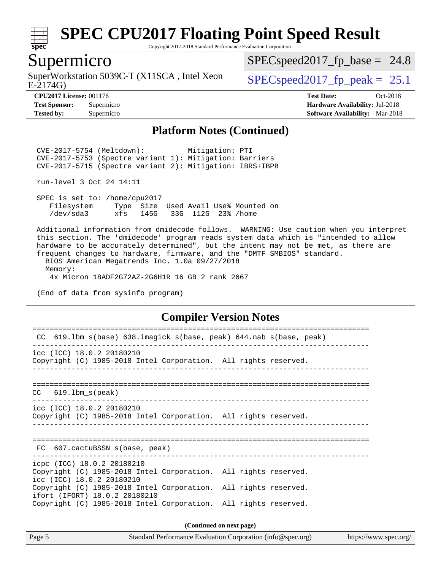

Copyright 2017-2018 Standard Performance Evaluation Corporation

#### Supermicro

SuperWorkstation 5039C-T (X11SCA, Intel Xeon<br>E-2174G)

 $SPECspeed2017_fp\_base = 24.8$ 

 $SPECspeed2017_fp\_peak = 25.1$ 

**[CPU2017 License:](http://www.spec.org/auto/cpu2017/Docs/result-fields.html#CPU2017License)** 001176 **[Test Date:](http://www.spec.org/auto/cpu2017/Docs/result-fields.html#TestDate)** Oct-2018 **[Test Sponsor:](http://www.spec.org/auto/cpu2017/Docs/result-fields.html#TestSponsor)** Supermicro **[Hardware Availability:](http://www.spec.org/auto/cpu2017/Docs/result-fields.html#HardwareAvailability)** Jul-2018 **[Tested by:](http://www.spec.org/auto/cpu2017/Docs/result-fields.html#Testedby)** Supermicro **[Software Availability:](http://www.spec.org/auto/cpu2017/Docs/result-fields.html#SoftwareAvailability)** Mar-2018

#### **[Platform Notes \(Continued\)](http://www.spec.org/auto/cpu2017/Docs/result-fields.html#PlatformNotes)**

 CVE-2017-5754 (Meltdown): Mitigation: PTI CVE-2017-5753 (Spectre variant 1): Mitigation: Barriers CVE-2017-5715 (Spectre variant 2): Mitigation: IBRS+IBPB

run-level 3 Oct 24 14:11

 SPEC is set to: /home/cpu2017 Filesystem Type Size Used Avail Use% Mounted on /dev/sda3 xfs 145G 33G 112G 23% /home

 Additional information from dmidecode follows. WARNING: Use caution when you interpret this section. The 'dmidecode' program reads system data which is "intended to allow hardware to be accurately determined", but the intent may not be met, as there are frequent changes to hardware, firmware, and the "DMTF SMBIOS" standard.

 BIOS American Megatrends Inc. 1.0a 09/27/2018 Memory:

4x Micron 18ADF2G72AZ-2G6H1R 16 GB 2 rank 2667

(End of data from sysinfo program)

#### **[Compiler Version Notes](http://www.spec.org/auto/cpu2017/Docs/result-fields.html#CompilerVersionNotes)**

| 619.1bm_s(base) 638.imagick_s(base, peak) 644.nab_s(base, peak)<br>CC                                                      |  |  |  |  |  |  |
|----------------------------------------------------------------------------------------------------------------------------|--|--|--|--|--|--|
|                                                                                                                            |  |  |  |  |  |  |
| icc (ICC) 18.0.2 20180210<br>Copyright (C) 1985-2018 Intel Corporation. All rights reserved.                               |  |  |  |  |  |  |
|                                                                                                                            |  |  |  |  |  |  |
| $CC$ 619.1bm $s$ (peak)                                                                                                    |  |  |  |  |  |  |
| icc (ICC) 18.0.2 20180210<br>Copyright (C) 1985-2018 Intel Corporation. All rights reserved.                               |  |  |  |  |  |  |
| FC 607.cactuBSSN s(base, peak)                                                                                             |  |  |  |  |  |  |
| icpc (ICC) 18.0.2 20180210<br>Copyright (C) 1985-2018 Intel Corporation. All rights reserved.<br>icc (ICC) 18.0.2 20180210 |  |  |  |  |  |  |
| Copyright (C) 1985-2018 Intel Corporation. All rights reserved.<br>ifort (IFORT) 18.0.2 20180210                           |  |  |  |  |  |  |
| Copyright (C) 1985-2018 Intel Corporation. All rights reserved.                                                            |  |  |  |  |  |  |
| (Continued on next page)                                                                                                   |  |  |  |  |  |  |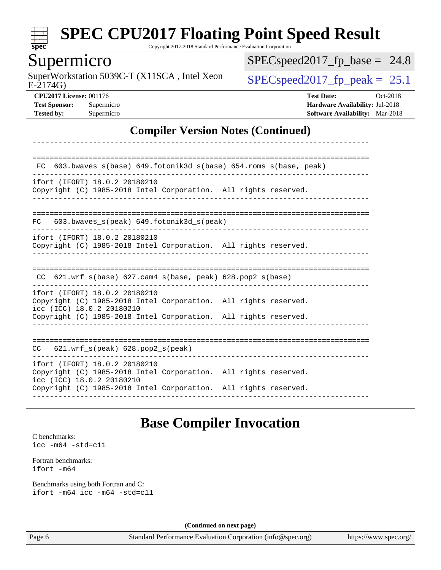

Copyright 2017-2018 Standard Performance Evaluation Corporation

#### Supermicro

E-2174G) SuperWorkstation 5039C-T (X11SCA, Intel Xeon  $\big|$  [SPECspeed2017\\_fp\\_peak =](http://www.spec.org/auto/cpu2017/Docs/result-fields.html#SPECspeed2017fppeak) 25.1

 $SPEC speed2017_fp\_base = 24.8$ 

**[CPU2017 License:](http://www.spec.org/auto/cpu2017/Docs/result-fields.html#CPU2017License)** 001176 **[Test Date:](http://www.spec.org/auto/cpu2017/Docs/result-fields.html#TestDate)** Oct-2018 **[Test Sponsor:](http://www.spec.org/auto/cpu2017/Docs/result-fields.html#TestSponsor)** Supermicro **[Hardware Availability:](http://www.spec.org/auto/cpu2017/Docs/result-fields.html#HardwareAvailability)** Jul-2018 **[Tested by:](http://www.spec.org/auto/cpu2017/Docs/result-fields.html#Testedby)** Supermicro **[Software Availability:](http://www.spec.org/auto/cpu2017/Docs/result-fields.html#SoftwareAvailability)** Mar-2018

#### **[Compiler Version Notes \(Continued\)](http://www.spec.org/auto/cpu2017/Docs/result-fields.html#CompilerVersionNotes)**

| 603.bwaves_s(base) 649.fotonik3d_s(base) 654.roms_s(base, peak)<br>FC.                                                                                                                           |  |
|--------------------------------------------------------------------------------------------------------------------------------------------------------------------------------------------------|--|
| ifort (IFORT) 18.0.2 20180210<br>Copyright (C) 1985-2018 Intel Corporation. All rights reserved.                                                                                                 |  |
| $603.bwaves$ s(peak) $649.fotonik3d$ s(peak)<br>FC.                                                                                                                                              |  |
| ifort (IFORT) 18.0.2 20180210<br>Copyright (C) 1985-2018 Intel Corporation. All rights reserved.                                                                                                 |  |
| $621.wrf_s(base)$ $627.cam4_s(base, peak)$ $628.pop2_s(base)$<br>CC.                                                                                                                             |  |
| ifort (IFORT) 18.0.2 20180210<br>Copyright (C) 1985-2018 Intel Corporation. All rights reserved.<br>icc (ICC) 18.0.2 20180210<br>Copyright (C) 1985-2018 Intel Corporation. All rights reserved. |  |
|                                                                                                                                                                                                  |  |
| $621.wrf$ s(peak) $628.pop2$ s(peak)<br>CC                                                                                                                                                       |  |
| ifort (IFORT) 18.0.2 20180210<br>Copyright (C) 1985-2018 Intel Corporation. All rights reserved.<br>icc (ICC) 18.0.2 20180210<br>Copyright (C) 1985-2018 Intel Corporation. All rights reserved. |  |
|                                                                                                                                                                                                  |  |

#### **[Base Compiler Invocation](http://www.spec.org/auto/cpu2017/Docs/result-fields.html#BaseCompilerInvocation)**

[C benchmarks](http://www.spec.org/auto/cpu2017/Docs/result-fields.html#Cbenchmarks): [icc -m64 -std=c11](http://www.spec.org/cpu2017/results/res2018q4/cpu2017-20181029-09434.flags.html#user_CCbase_intel_icc_64bit_c11_33ee0cdaae7deeeab2a9725423ba97205ce30f63b9926c2519791662299b76a0318f32ddfffdc46587804de3178b4f9328c46fa7c2b0cd779d7a61945c91cd35)

[Fortran benchmarks](http://www.spec.org/auto/cpu2017/Docs/result-fields.html#Fortranbenchmarks): [ifort -m64](http://www.spec.org/cpu2017/results/res2018q4/cpu2017-20181029-09434.flags.html#user_FCbase_intel_ifort_64bit_24f2bb282fbaeffd6157abe4f878425411749daecae9a33200eee2bee2fe76f3b89351d69a8130dd5949958ce389cf37ff59a95e7a40d588e8d3a57e0c3fd751)

[Benchmarks using both Fortran and C](http://www.spec.org/auto/cpu2017/Docs/result-fields.html#BenchmarksusingbothFortranandC): [ifort -m64](http://www.spec.org/cpu2017/results/res2018q4/cpu2017-20181029-09434.flags.html#user_CC_FCbase_intel_ifort_64bit_24f2bb282fbaeffd6157abe4f878425411749daecae9a33200eee2bee2fe76f3b89351d69a8130dd5949958ce389cf37ff59a95e7a40d588e8d3a57e0c3fd751) [icc -m64 -std=c11](http://www.spec.org/cpu2017/results/res2018q4/cpu2017-20181029-09434.flags.html#user_CC_FCbase_intel_icc_64bit_c11_33ee0cdaae7deeeab2a9725423ba97205ce30f63b9926c2519791662299b76a0318f32ddfffdc46587804de3178b4f9328c46fa7c2b0cd779d7a61945c91cd35)

**(Continued on next page)**

Page 6 Standard Performance Evaluation Corporation [\(info@spec.org\)](mailto:info@spec.org) <https://www.spec.org/>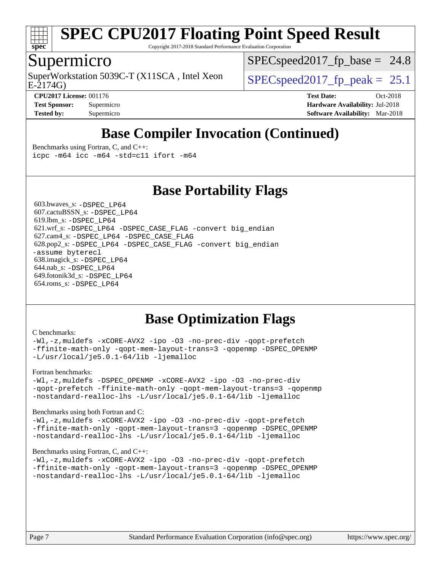

Copyright 2017-2018 Standard Performance Evaluation Corporation

#### Supermicro

SuperWorkstation 5039C-T (X11SCA, Intel Xeon  $\big|$  SPECspeed2017 fp\_peak = 25.1

 $SPECspeed2017<sub>fp</sub> base = 24.8$ 

E-2174G)

**[CPU2017 License:](http://www.spec.org/auto/cpu2017/Docs/result-fields.html#CPU2017License)** 001176 **[Test Date:](http://www.spec.org/auto/cpu2017/Docs/result-fields.html#TestDate)** Oct-2018 **[Test Sponsor:](http://www.spec.org/auto/cpu2017/Docs/result-fields.html#TestSponsor)** Supermicro **[Hardware Availability:](http://www.spec.org/auto/cpu2017/Docs/result-fields.html#HardwareAvailability)** Jul-2018 **[Tested by:](http://www.spec.org/auto/cpu2017/Docs/result-fields.html#Testedby)** Supermicro **[Software Availability:](http://www.spec.org/auto/cpu2017/Docs/result-fields.html#SoftwareAvailability)** Mar-2018

### **[Base Compiler Invocation \(Continued\)](http://www.spec.org/auto/cpu2017/Docs/result-fields.html#BaseCompilerInvocation)**

[Benchmarks using Fortran, C, and C++:](http://www.spec.org/auto/cpu2017/Docs/result-fields.html#BenchmarksusingFortranCandCXX) [icpc -m64](http://www.spec.org/cpu2017/results/res2018q4/cpu2017-20181029-09434.flags.html#user_CC_CXX_FCbase_intel_icpc_64bit_4ecb2543ae3f1412ef961e0650ca070fec7b7afdcd6ed48761b84423119d1bf6bdf5cad15b44d48e7256388bc77273b966e5eb805aefd121eb22e9299b2ec9d9) [icc -m64 -std=c11](http://www.spec.org/cpu2017/results/res2018q4/cpu2017-20181029-09434.flags.html#user_CC_CXX_FCbase_intel_icc_64bit_c11_33ee0cdaae7deeeab2a9725423ba97205ce30f63b9926c2519791662299b76a0318f32ddfffdc46587804de3178b4f9328c46fa7c2b0cd779d7a61945c91cd35) [ifort -m64](http://www.spec.org/cpu2017/results/res2018q4/cpu2017-20181029-09434.flags.html#user_CC_CXX_FCbase_intel_ifort_64bit_24f2bb282fbaeffd6157abe4f878425411749daecae9a33200eee2bee2fe76f3b89351d69a8130dd5949958ce389cf37ff59a95e7a40d588e8d3a57e0c3fd751)

**[Base Portability Flags](http://www.spec.org/auto/cpu2017/Docs/result-fields.html#BasePortabilityFlags)**

 603.bwaves\_s: [-DSPEC\\_LP64](http://www.spec.org/cpu2017/results/res2018q4/cpu2017-20181029-09434.flags.html#suite_basePORTABILITY603_bwaves_s_DSPEC_LP64) 607.cactuBSSN\_s: [-DSPEC\\_LP64](http://www.spec.org/cpu2017/results/res2018q4/cpu2017-20181029-09434.flags.html#suite_basePORTABILITY607_cactuBSSN_s_DSPEC_LP64) 619.lbm\_s: [-DSPEC\\_LP64](http://www.spec.org/cpu2017/results/res2018q4/cpu2017-20181029-09434.flags.html#suite_basePORTABILITY619_lbm_s_DSPEC_LP64) 621.wrf\_s: [-DSPEC\\_LP64](http://www.spec.org/cpu2017/results/res2018q4/cpu2017-20181029-09434.flags.html#suite_basePORTABILITY621_wrf_s_DSPEC_LP64) [-DSPEC\\_CASE\\_FLAG](http://www.spec.org/cpu2017/results/res2018q4/cpu2017-20181029-09434.flags.html#b621.wrf_s_baseCPORTABILITY_DSPEC_CASE_FLAG) [-convert big\\_endian](http://www.spec.org/cpu2017/results/res2018q4/cpu2017-20181029-09434.flags.html#user_baseFPORTABILITY621_wrf_s_convert_big_endian_c3194028bc08c63ac5d04de18c48ce6d347e4e562e8892b8bdbdc0214820426deb8554edfa529a3fb25a586e65a3d812c835984020483e7e73212c4d31a38223) 627.cam4\_s: [-DSPEC\\_LP64](http://www.spec.org/cpu2017/results/res2018q4/cpu2017-20181029-09434.flags.html#suite_basePORTABILITY627_cam4_s_DSPEC_LP64) [-DSPEC\\_CASE\\_FLAG](http://www.spec.org/cpu2017/results/res2018q4/cpu2017-20181029-09434.flags.html#b627.cam4_s_baseCPORTABILITY_DSPEC_CASE_FLAG) 628.pop2\_s: [-DSPEC\\_LP64](http://www.spec.org/cpu2017/results/res2018q4/cpu2017-20181029-09434.flags.html#suite_basePORTABILITY628_pop2_s_DSPEC_LP64) [-DSPEC\\_CASE\\_FLAG](http://www.spec.org/cpu2017/results/res2018q4/cpu2017-20181029-09434.flags.html#b628.pop2_s_baseCPORTABILITY_DSPEC_CASE_FLAG) [-convert big\\_endian](http://www.spec.org/cpu2017/results/res2018q4/cpu2017-20181029-09434.flags.html#user_baseFPORTABILITY628_pop2_s_convert_big_endian_c3194028bc08c63ac5d04de18c48ce6d347e4e562e8892b8bdbdc0214820426deb8554edfa529a3fb25a586e65a3d812c835984020483e7e73212c4d31a38223) [-assume byterecl](http://www.spec.org/cpu2017/results/res2018q4/cpu2017-20181029-09434.flags.html#user_baseFPORTABILITY628_pop2_s_assume_byterecl_7e47d18b9513cf18525430bbf0f2177aa9bf368bc7a059c09b2c06a34b53bd3447c950d3f8d6c70e3faf3a05c8557d66a5798b567902e8849adc142926523472) 638.imagick\_s: [-DSPEC\\_LP64](http://www.spec.org/cpu2017/results/res2018q4/cpu2017-20181029-09434.flags.html#suite_basePORTABILITY638_imagick_s_DSPEC_LP64) 644.nab\_s: [-DSPEC\\_LP64](http://www.spec.org/cpu2017/results/res2018q4/cpu2017-20181029-09434.flags.html#suite_basePORTABILITY644_nab_s_DSPEC_LP64) 649.fotonik3d\_s: [-DSPEC\\_LP64](http://www.spec.org/cpu2017/results/res2018q4/cpu2017-20181029-09434.flags.html#suite_basePORTABILITY649_fotonik3d_s_DSPEC_LP64) 654.roms\_s: [-DSPEC\\_LP64](http://www.spec.org/cpu2017/results/res2018q4/cpu2017-20181029-09434.flags.html#suite_basePORTABILITY654_roms_s_DSPEC_LP64)

### **[Base Optimization Flags](http://www.spec.org/auto/cpu2017/Docs/result-fields.html#BaseOptimizationFlags)**

#### [C benchmarks](http://www.spec.org/auto/cpu2017/Docs/result-fields.html#Cbenchmarks):

[-Wl,-z,muldefs](http://www.spec.org/cpu2017/results/res2018q4/cpu2017-20181029-09434.flags.html#user_CCbase_link_force_multiple1_b4cbdb97b34bdee9ceefcfe54f4c8ea74255f0b02a4b23e853cdb0e18eb4525ac79b5a88067c842dd0ee6996c24547a27a4b99331201badda8798ef8a743f577) [-xCORE-AVX2](http://www.spec.org/cpu2017/results/res2018q4/cpu2017-20181029-09434.flags.html#user_CCbase_f-xCORE-AVX2) [-ipo](http://www.spec.org/cpu2017/results/res2018q4/cpu2017-20181029-09434.flags.html#user_CCbase_f-ipo) [-O3](http://www.spec.org/cpu2017/results/res2018q4/cpu2017-20181029-09434.flags.html#user_CCbase_f-O3) [-no-prec-div](http://www.spec.org/cpu2017/results/res2018q4/cpu2017-20181029-09434.flags.html#user_CCbase_f-no-prec-div) [-qopt-prefetch](http://www.spec.org/cpu2017/results/res2018q4/cpu2017-20181029-09434.flags.html#user_CCbase_f-qopt-prefetch) [-ffinite-math-only](http://www.spec.org/cpu2017/results/res2018q4/cpu2017-20181029-09434.flags.html#user_CCbase_f_finite_math_only_cb91587bd2077682c4b38af759c288ed7c732db004271a9512da14a4f8007909a5f1427ecbf1a0fb78ff2a814402c6114ac565ca162485bbcae155b5e4258871) [-qopt-mem-layout-trans=3](http://www.spec.org/cpu2017/results/res2018q4/cpu2017-20181029-09434.flags.html#user_CCbase_f-qopt-mem-layout-trans_de80db37974c74b1f0e20d883f0b675c88c3b01e9d123adea9b28688d64333345fb62bc4a798493513fdb68f60282f9a726aa07f478b2f7113531aecce732043) [-qopenmp](http://www.spec.org/cpu2017/results/res2018q4/cpu2017-20181029-09434.flags.html#user_CCbase_qopenmp_16be0c44f24f464004c6784a7acb94aca937f053568ce72f94b139a11c7c168634a55f6653758ddd83bcf7b8463e8028bb0b48b77bcddc6b78d5d95bb1df2967) [-DSPEC\\_OPENMP](http://www.spec.org/cpu2017/results/res2018q4/cpu2017-20181029-09434.flags.html#suite_CCbase_DSPEC_OPENMP) [-L/usr/local/je5.0.1-64/lib](http://www.spec.org/cpu2017/results/res2018q4/cpu2017-20181029-09434.flags.html#user_CCbase_jemalloc_link_path64_4b10a636b7bce113509b17f3bd0d6226c5fb2346b9178c2d0232c14f04ab830f976640479e5c33dc2bcbbdad86ecfb6634cbbd4418746f06f368b512fced5394) [-ljemalloc](http://www.spec.org/cpu2017/results/res2018q4/cpu2017-20181029-09434.flags.html#user_CCbase_jemalloc_link_lib_d1249b907c500fa1c0672f44f562e3d0f79738ae9e3c4a9c376d49f265a04b9c99b167ecedbf6711b3085be911c67ff61f150a17b3472be731631ba4d0471706)

#### [Fortran benchmarks](http://www.spec.org/auto/cpu2017/Docs/result-fields.html#Fortranbenchmarks):

[-Wl,-z,muldefs](http://www.spec.org/cpu2017/results/res2018q4/cpu2017-20181029-09434.flags.html#user_FCbase_link_force_multiple1_b4cbdb97b34bdee9ceefcfe54f4c8ea74255f0b02a4b23e853cdb0e18eb4525ac79b5a88067c842dd0ee6996c24547a27a4b99331201badda8798ef8a743f577) [-DSPEC\\_OPENMP](http://www.spec.org/cpu2017/results/res2018q4/cpu2017-20181029-09434.flags.html#suite_FCbase_DSPEC_OPENMP) [-xCORE-AVX2](http://www.spec.org/cpu2017/results/res2018q4/cpu2017-20181029-09434.flags.html#user_FCbase_f-xCORE-AVX2) [-ipo](http://www.spec.org/cpu2017/results/res2018q4/cpu2017-20181029-09434.flags.html#user_FCbase_f-ipo) [-O3](http://www.spec.org/cpu2017/results/res2018q4/cpu2017-20181029-09434.flags.html#user_FCbase_f-O3) [-no-prec-div](http://www.spec.org/cpu2017/results/res2018q4/cpu2017-20181029-09434.flags.html#user_FCbase_f-no-prec-div) [-qopt-prefetch](http://www.spec.org/cpu2017/results/res2018q4/cpu2017-20181029-09434.flags.html#user_FCbase_f-qopt-prefetch) [-ffinite-math-only](http://www.spec.org/cpu2017/results/res2018q4/cpu2017-20181029-09434.flags.html#user_FCbase_f_finite_math_only_cb91587bd2077682c4b38af759c288ed7c732db004271a9512da14a4f8007909a5f1427ecbf1a0fb78ff2a814402c6114ac565ca162485bbcae155b5e4258871) [-qopt-mem-layout-trans=3](http://www.spec.org/cpu2017/results/res2018q4/cpu2017-20181029-09434.flags.html#user_FCbase_f-qopt-mem-layout-trans_de80db37974c74b1f0e20d883f0b675c88c3b01e9d123adea9b28688d64333345fb62bc4a798493513fdb68f60282f9a726aa07f478b2f7113531aecce732043) [-qopenmp](http://www.spec.org/cpu2017/results/res2018q4/cpu2017-20181029-09434.flags.html#user_FCbase_qopenmp_16be0c44f24f464004c6784a7acb94aca937f053568ce72f94b139a11c7c168634a55f6653758ddd83bcf7b8463e8028bb0b48b77bcddc6b78d5d95bb1df2967) [-nostandard-realloc-lhs](http://www.spec.org/cpu2017/results/res2018q4/cpu2017-20181029-09434.flags.html#user_FCbase_f_2003_std_realloc_82b4557e90729c0f113870c07e44d33d6f5a304b4f63d4c15d2d0f1fab99f5daaed73bdb9275d9ae411527f28b936061aa8b9c8f2d63842963b95c9dd6426b8a) [-L/usr/local/je5.0.1-64/lib](http://www.spec.org/cpu2017/results/res2018q4/cpu2017-20181029-09434.flags.html#user_FCbase_jemalloc_link_path64_4b10a636b7bce113509b17f3bd0d6226c5fb2346b9178c2d0232c14f04ab830f976640479e5c33dc2bcbbdad86ecfb6634cbbd4418746f06f368b512fced5394) [-ljemalloc](http://www.spec.org/cpu2017/results/res2018q4/cpu2017-20181029-09434.flags.html#user_FCbase_jemalloc_link_lib_d1249b907c500fa1c0672f44f562e3d0f79738ae9e3c4a9c376d49f265a04b9c99b167ecedbf6711b3085be911c67ff61f150a17b3472be731631ba4d0471706)

#### [Benchmarks using both Fortran and C](http://www.spec.org/auto/cpu2017/Docs/result-fields.html#BenchmarksusingbothFortranandC):

[-Wl,-z,muldefs](http://www.spec.org/cpu2017/results/res2018q4/cpu2017-20181029-09434.flags.html#user_CC_FCbase_link_force_multiple1_b4cbdb97b34bdee9ceefcfe54f4c8ea74255f0b02a4b23e853cdb0e18eb4525ac79b5a88067c842dd0ee6996c24547a27a4b99331201badda8798ef8a743f577) [-xCORE-AVX2](http://www.spec.org/cpu2017/results/res2018q4/cpu2017-20181029-09434.flags.html#user_CC_FCbase_f-xCORE-AVX2) [-ipo](http://www.spec.org/cpu2017/results/res2018q4/cpu2017-20181029-09434.flags.html#user_CC_FCbase_f-ipo) [-O3](http://www.spec.org/cpu2017/results/res2018q4/cpu2017-20181029-09434.flags.html#user_CC_FCbase_f-O3) [-no-prec-div](http://www.spec.org/cpu2017/results/res2018q4/cpu2017-20181029-09434.flags.html#user_CC_FCbase_f-no-prec-div) [-qopt-prefetch](http://www.spec.org/cpu2017/results/res2018q4/cpu2017-20181029-09434.flags.html#user_CC_FCbase_f-qopt-prefetch) [-ffinite-math-only](http://www.spec.org/cpu2017/results/res2018q4/cpu2017-20181029-09434.flags.html#user_CC_FCbase_f_finite_math_only_cb91587bd2077682c4b38af759c288ed7c732db004271a9512da14a4f8007909a5f1427ecbf1a0fb78ff2a814402c6114ac565ca162485bbcae155b5e4258871) [-qopt-mem-layout-trans=3](http://www.spec.org/cpu2017/results/res2018q4/cpu2017-20181029-09434.flags.html#user_CC_FCbase_f-qopt-mem-layout-trans_de80db37974c74b1f0e20d883f0b675c88c3b01e9d123adea9b28688d64333345fb62bc4a798493513fdb68f60282f9a726aa07f478b2f7113531aecce732043) [-qopenmp](http://www.spec.org/cpu2017/results/res2018q4/cpu2017-20181029-09434.flags.html#user_CC_FCbase_qopenmp_16be0c44f24f464004c6784a7acb94aca937f053568ce72f94b139a11c7c168634a55f6653758ddd83bcf7b8463e8028bb0b48b77bcddc6b78d5d95bb1df2967) [-DSPEC\\_OPENMP](http://www.spec.org/cpu2017/results/res2018q4/cpu2017-20181029-09434.flags.html#suite_CC_FCbase_DSPEC_OPENMP) [-nostandard-realloc-lhs](http://www.spec.org/cpu2017/results/res2018q4/cpu2017-20181029-09434.flags.html#user_CC_FCbase_f_2003_std_realloc_82b4557e90729c0f113870c07e44d33d6f5a304b4f63d4c15d2d0f1fab99f5daaed73bdb9275d9ae411527f28b936061aa8b9c8f2d63842963b95c9dd6426b8a) [-L/usr/local/je5.0.1-64/lib](http://www.spec.org/cpu2017/results/res2018q4/cpu2017-20181029-09434.flags.html#user_CC_FCbase_jemalloc_link_path64_4b10a636b7bce113509b17f3bd0d6226c5fb2346b9178c2d0232c14f04ab830f976640479e5c33dc2bcbbdad86ecfb6634cbbd4418746f06f368b512fced5394) [-ljemalloc](http://www.spec.org/cpu2017/results/res2018q4/cpu2017-20181029-09434.flags.html#user_CC_FCbase_jemalloc_link_lib_d1249b907c500fa1c0672f44f562e3d0f79738ae9e3c4a9c376d49f265a04b9c99b167ecedbf6711b3085be911c67ff61f150a17b3472be731631ba4d0471706)

#### [Benchmarks using Fortran, C, and C++:](http://www.spec.org/auto/cpu2017/Docs/result-fields.html#BenchmarksusingFortranCandCXX)

[-Wl,-z,muldefs](http://www.spec.org/cpu2017/results/res2018q4/cpu2017-20181029-09434.flags.html#user_CC_CXX_FCbase_link_force_multiple1_b4cbdb97b34bdee9ceefcfe54f4c8ea74255f0b02a4b23e853cdb0e18eb4525ac79b5a88067c842dd0ee6996c24547a27a4b99331201badda8798ef8a743f577) [-xCORE-AVX2](http://www.spec.org/cpu2017/results/res2018q4/cpu2017-20181029-09434.flags.html#user_CC_CXX_FCbase_f-xCORE-AVX2) [-ipo](http://www.spec.org/cpu2017/results/res2018q4/cpu2017-20181029-09434.flags.html#user_CC_CXX_FCbase_f-ipo) [-O3](http://www.spec.org/cpu2017/results/res2018q4/cpu2017-20181029-09434.flags.html#user_CC_CXX_FCbase_f-O3) [-no-prec-div](http://www.spec.org/cpu2017/results/res2018q4/cpu2017-20181029-09434.flags.html#user_CC_CXX_FCbase_f-no-prec-div) [-qopt-prefetch](http://www.spec.org/cpu2017/results/res2018q4/cpu2017-20181029-09434.flags.html#user_CC_CXX_FCbase_f-qopt-prefetch) [-ffinite-math-only](http://www.spec.org/cpu2017/results/res2018q4/cpu2017-20181029-09434.flags.html#user_CC_CXX_FCbase_f_finite_math_only_cb91587bd2077682c4b38af759c288ed7c732db004271a9512da14a4f8007909a5f1427ecbf1a0fb78ff2a814402c6114ac565ca162485bbcae155b5e4258871) [-qopt-mem-layout-trans=3](http://www.spec.org/cpu2017/results/res2018q4/cpu2017-20181029-09434.flags.html#user_CC_CXX_FCbase_f-qopt-mem-layout-trans_de80db37974c74b1f0e20d883f0b675c88c3b01e9d123adea9b28688d64333345fb62bc4a798493513fdb68f60282f9a726aa07f478b2f7113531aecce732043) [-qopenmp](http://www.spec.org/cpu2017/results/res2018q4/cpu2017-20181029-09434.flags.html#user_CC_CXX_FCbase_qopenmp_16be0c44f24f464004c6784a7acb94aca937f053568ce72f94b139a11c7c168634a55f6653758ddd83bcf7b8463e8028bb0b48b77bcddc6b78d5d95bb1df2967) [-DSPEC\\_OPENMP](http://www.spec.org/cpu2017/results/res2018q4/cpu2017-20181029-09434.flags.html#suite_CC_CXX_FCbase_DSPEC_OPENMP) [-nostandard-realloc-lhs](http://www.spec.org/cpu2017/results/res2018q4/cpu2017-20181029-09434.flags.html#user_CC_CXX_FCbase_f_2003_std_realloc_82b4557e90729c0f113870c07e44d33d6f5a304b4f63d4c15d2d0f1fab99f5daaed73bdb9275d9ae411527f28b936061aa8b9c8f2d63842963b95c9dd6426b8a) [-L/usr/local/je5.0.1-64/lib](http://www.spec.org/cpu2017/results/res2018q4/cpu2017-20181029-09434.flags.html#user_CC_CXX_FCbase_jemalloc_link_path64_4b10a636b7bce113509b17f3bd0d6226c5fb2346b9178c2d0232c14f04ab830f976640479e5c33dc2bcbbdad86ecfb6634cbbd4418746f06f368b512fced5394) [-ljemalloc](http://www.spec.org/cpu2017/results/res2018q4/cpu2017-20181029-09434.flags.html#user_CC_CXX_FCbase_jemalloc_link_lib_d1249b907c500fa1c0672f44f562e3d0f79738ae9e3c4a9c376d49f265a04b9c99b167ecedbf6711b3085be911c67ff61f150a17b3472be731631ba4d0471706)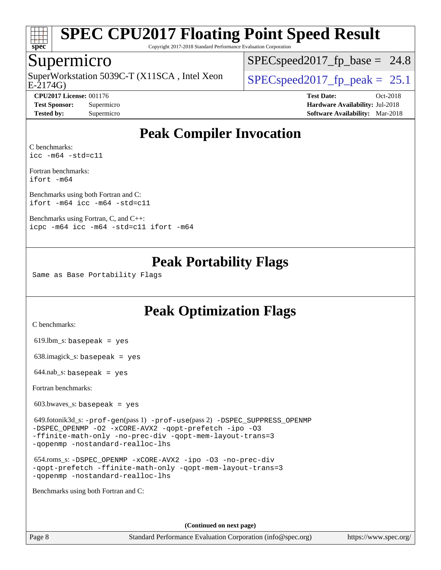

Copyright 2017-2018 Standard Performance Evaluation Corporation

#### Supermicro

SuperWorkstation 5039C-T (X11SCA, Intel Xeon<br>E-2174G)

 $SPECspeed2017<sub>fp</sub> base = 24.8$ 

**[Tested by:](http://www.spec.org/auto/cpu2017/Docs/result-fields.html#Testedby)** Supermicro **[Software Availability:](http://www.spec.org/auto/cpu2017/Docs/result-fields.html#SoftwareAvailability)** Mar-2018

 $SPECspeed2017_fp\_peak = 25.1$ 

**[CPU2017 License:](http://www.spec.org/auto/cpu2017/Docs/result-fields.html#CPU2017License)** 001176 **[Test Date:](http://www.spec.org/auto/cpu2017/Docs/result-fields.html#TestDate)** Oct-2018 **[Test Sponsor:](http://www.spec.org/auto/cpu2017/Docs/result-fields.html#TestSponsor)** Supermicro **[Hardware Availability:](http://www.spec.org/auto/cpu2017/Docs/result-fields.html#HardwareAvailability)** Jul-2018

### **[Peak Compiler Invocation](http://www.spec.org/auto/cpu2017/Docs/result-fields.html#PeakCompilerInvocation)**

[C benchmarks](http://www.spec.org/auto/cpu2017/Docs/result-fields.html#Cbenchmarks): [icc -m64 -std=c11](http://www.spec.org/cpu2017/results/res2018q4/cpu2017-20181029-09434.flags.html#user_CCpeak_intel_icc_64bit_c11_33ee0cdaae7deeeab2a9725423ba97205ce30f63b9926c2519791662299b76a0318f32ddfffdc46587804de3178b4f9328c46fa7c2b0cd779d7a61945c91cd35)

[Fortran benchmarks](http://www.spec.org/auto/cpu2017/Docs/result-fields.html#Fortranbenchmarks): [ifort -m64](http://www.spec.org/cpu2017/results/res2018q4/cpu2017-20181029-09434.flags.html#user_FCpeak_intel_ifort_64bit_24f2bb282fbaeffd6157abe4f878425411749daecae9a33200eee2bee2fe76f3b89351d69a8130dd5949958ce389cf37ff59a95e7a40d588e8d3a57e0c3fd751)

[Benchmarks using both Fortran and C](http://www.spec.org/auto/cpu2017/Docs/result-fields.html#BenchmarksusingbothFortranandC): [ifort -m64](http://www.spec.org/cpu2017/results/res2018q4/cpu2017-20181029-09434.flags.html#user_CC_FCpeak_intel_ifort_64bit_24f2bb282fbaeffd6157abe4f878425411749daecae9a33200eee2bee2fe76f3b89351d69a8130dd5949958ce389cf37ff59a95e7a40d588e8d3a57e0c3fd751) [icc -m64 -std=c11](http://www.spec.org/cpu2017/results/res2018q4/cpu2017-20181029-09434.flags.html#user_CC_FCpeak_intel_icc_64bit_c11_33ee0cdaae7deeeab2a9725423ba97205ce30f63b9926c2519791662299b76a0318f32ddfffdc46587804de3178b4f9328c46fa7c2b0cd779d7a61945c91cd35)

[Benchmarks using Fortran, C, and C++:](http://www.spec.org/auto/cpu2017/Docs/result-fields.html#BenchmarksusingFortranCandCXX) [icpc -m64](http://www.spec.org/cpu2017/results/res2018q4/cpu2017-20181029-09434.flags.html#user_CC_CXX_FCpeak_intel_icpc_64bit_4ecb2543ae3f1412ef961e0650ca070fec7b7afdcd6ed48761b84423119d1bf6bdf5cad15b44d48e7256388bc77273b966e5eb805aefd121eb22e9299b2ec9d9) [icc -m64 -std=c11](http://www.spec.org/cpu2017/results/res2018q4/cpu2017-20181029-09434.flags.html#user_CC_CXX_FCpeak_intel_icc_64bit_c11_33ee0cdaae7deeeab2a9725423ba97205ce30f63b9926c2519791662299b76a0318f32ddfffdc46587804de3178b4f9328c46fa7c2b0cd779d7a61945c91cd35) [ifort -m64](http://www.spec.org/cpu2017/results/res2018q4/cpu2017-20181029-09434.flags.html#user_CC_CXX_FCpeak_intel_ifort_64bit_24f2bb282fbaeffd6157abe4f878425411749daecae9a33200eee2bee2fe76f3b89351d69a8130dd5949958ce389cf37ff59a95e7a40d588e8d3a57e0c3fd751)

#### **[Peak Portability Flags](http://www.spec.org/auto/cpu2017/Docs/result-fields.html#PeakPortabilityFlags)**

Same as Base Portability Flags

### **[Peak Optimization Flags](http://www.spec.org/auto/cpu2017/Docs/result-fields.html#PeakOptimizationFlags)**

[C benchmarks](http://www.spec.org/auto/cpu2017/Docs/result-fields.html#Cbenchmarks):

 $619.$ lbm\_s: basepeak = yes

638.imagick\_s: basepeak = yes

 $644.nab$ <sub>S</sub>: basepeak = yes

[Fortran benchmarks](http://www.spec.org/auto/cpu2017/Docs/result-fields.html#Fortranbenchmarks):

603.bwaves\_s: basepeak = yes

 649.fotonik3d\_s: [-prof-gen](http://www.spec.org/cpu2017/results/res2018q4/cpu2017-20181029-09434.flags.html#user_peakPASS1_FFLAGSPASS1_LDFLAGS649_fotonik3d_s_prof_gen_5aa4926d6013ddb2a31985c654b3eb18169fc0c6952a63635c234f711e6e63dd76e94ad52365559451ec499a2cdb89e4dc58ba4c67ef54ca681ffbe1461d6b36)(pass 1) [-prof-use](http://www.spec.org/cpu2017/results/res2018q4/cpu2017-20181029-09434.flags.html#user_peakPASS2_FFLAGSPASS2_LDFLAGS649_fotonik3d_s_prof_use_1a21ceae95f36a2b53c25747139a6c16ca95bd9def2a207b4f0849963b97e94f5260e30a0c64f4bb623698870e679ca08317ef8150905d41bd88c6f78df73f19)(pass 2) [-DSPEC\\_SUPPRESS\\_OPENMP](http://www.spec.org/cpu2017/results/res2018q4/cpu2017-20181029-09434.flags.html#suite_peakPASS1_FOPTIMIZE649_fotonik3d_s_DSPEC_SUPPRESS_OPENMP) [-DSPEC\\_OPENMP](http://www.spec.org/cpu2017/results/res2018q4/cpu2017-20181029-09434.flags.html#suite_peakPASS2_FOPTIMIZE649_fotonik3d_s_DSPEC_OPENMP) [-O2](http://www.spec.org/cpu2017/results/res2018q4/cpu2017-20181029-09434.flags.html#user_peakPASS1_FOPTIMIZE649_fotonik3d_s_f-O2) [-xCORE-AVX2](http://www.spec.org/cpu2017/results/res2018q4/cpu2017-20181029-09434.flags.html#user_peakPASS2_FOPTIMIZE649_fotonik3d_s_f-xCORE-AVX2) [-qopt-prefetch](http://www.spec.org/cpu2017/results/res2018q4/cpu2017-20181029-09434.flags.html#user_peakPASS1_FOPTIMIZEPASS2_FOPTIMIZE649_fotonik3d_s_f-qopt-prefetch) [-ipo](http://www.spec.org/cpu2017/results/res2018q4/cpu2017-20181029-09434.flags.html#user_peakPASS2_FOPTIMIZE649_fotonik3d_s_f-ipo) [-O3](http://www.spec.org/cpu2017/results/res2018q4/cpu2017-20181029-09434.flags.html#user_peakPASS2_FOPTIMIZE649_fotonik3d_s_f-O3) [-ffinite-math-only](http://www.spec.org/cpu2017/results/res2018q4/cpu2017-20181029-09434.flags.html#user_peakPASS1_FOPTIMIZEPASS2_FOPTIMIZE649_fotonik3d_s_f_finite_math_only_cb91587bd2077682c4b38af759c288ed7c732db004271a9512da14a4f8007909a5f1427ecbf1a0fb78ff2a814402c6114ac565ca162485bbcae155b5e4258871) [-no-prec-div](http://www.spec.org/cpu2017/results/res2018q4/cpu2017-20181029-09434.flags.html#user_peakPASS2_FOPTIMIZE649_fotonik3d_s_f-no-prec-div) [-qopt-mem-layout-trans=3](http://www.spec.org/cpu2017/results/res2018q4/cpu2017-20181029-09434.flags.html#user_peakPASS1_FOPTIMIZEPASS2_FOPTIMIZE649_fotonik3d_s_f-qopt-mem-layout-trans_de80db37974c74b1f0e20d883f0b675c88c3b01e9d123adea9b28688d64333345fb62bc4a798493513fdb68f60282f9a726aa07f478b2f7113531aecce732043) [-qopenmp](http://www.spec.org/cpu2017/results/res2018q4/cpu2017-20181029-09434.flags.html#user_peakPASS2_FOPTIMIZE649_fotonik3d_s_qopenmp_16be0c44f24f464004c6784a7acb94aca937f053568ce72f94b139a11c7c168634a55f6653758ddd83bcf7b8463e8028bb0b48b77bcddc6b78d5d95bb1df2967) [-nostandard-realloc-lhs](http://www.spec.org/cpu2017/results/res2018q4/cpu2017-20181029-09434.flags.html#user_peakEXTRA_FOPTIMIZE649_fotonik3d_s_f_2003_std_realloc_82b4557e90729c0f113870c07e44d33d6f5a304b4f63d4c15d2d0f1fab99f5daaed73bdb9275d9ae411527f28b936061aa8b9c8f2d63842963b95c9dd6426b8a)

 654.roms\_s: [-DSPEC\\_OPENMP](http://www.spec.org/cpu2017/results/res2018q4/cpu2017-20181029-09434.flags.html#suite_peakFOPTIMIZE654_roms_s_DSPEC_OPENMP) [-xCORE-AVX2](http://www.spec.org/cpu2017/results/res2018q4/cpu2017-20181029-09434.flags.html#user_peakFOPTIMIZE654_roms_s_f-xCORE-AVX2) [-ipo](http://www.spec.org/cpu2017/results/res2018q4/cpu2017-20181029-09434.flags.html#user_peakFOPTIMIZE654_roms_s_f-ipo) [-O3](http://www.spec.org/cpu2017/results/res2018q4/cpu2017-20181029-09434.flags.html#user_peakFOPTIMIZE654_roms_s_f-O3) [-no-prec-div](http://www.spec.org/cpu2017/results/res2018q4/cpu2017-20181029-09434.flags.html#user_peakFOPTIMIZE654_roms_s_f-no-prec-div) [-qopt-prefetch](http://www.spec.org/cpu2017/results/res2018q4/cpu2017-20181029-09434.flags.html#user_peakFOPTIMIZE654_roms_s_f-qopt-prefetch) [-ffinite-math-only](http://www.spec.org/cpu2017/results/res2018q4/cpu2017-20181029-09434.flags.html#user_peakFOPTIMIZE654_roms_s_f_finite_math_only_cb91587bd2077682c4b38af759c288ed7c732db004271a9512da14a4f8007909a5f1427ecbf1a0fb78ff2a814402c6114ac565ca162485bbcae155b5e4258871) [-qopt-mem-layout-trans=3](http://www.spec.org/cpu2017/results/res2018q4/cpu2017-20181029-09434.flags.html#user_peakFOPTIMIZE654_roms_s_f-qopt-mem-layout-trans_de80db37974c74b1f0e20d883f0b675c88c3b01e9d123adea9b28688d64333345fb62bc4a798493513fdb68f60282f9a726aa07f478b2f7113531aecce732043) [-qopenmp](http://www.spec.org/cpu2017/results/res2018q4/cpu2017-20181029-09434.flags.html#user_peakFOPTIMIZE654_roms_s_qopenmp_16be0c44f24f464004c6784a7acb94aca937f053568ce72f94b139a11c7c168634a55f6653758ddd83bcf7b8463e8028bb0b48b77bcddc6b78d5d95bb1df2967) [-nostandard-realloc-lhs](http://www.spec.org/cpu2017/results/res2018q4/cpu2017-20181029-09434.flags.html#user_peakEXTRA_FOPTIMIZE654_roms_s_f_2003_std_realloc_82b4557e90729c0f113870c07e44d33d6f5a304b4f63d4c15d2d0f1fab99f5daaed73bdb9275d9ae411527f28b936061aa8b9c8f2d63842963b95c9dd6426b8a)

[Benchmarks using both Fortran and C](http://www.spec.org/auto/cpu2017/Docs/result-fields.html#BenchmarksusingbothFortranandC):

**(Continued on next page)**